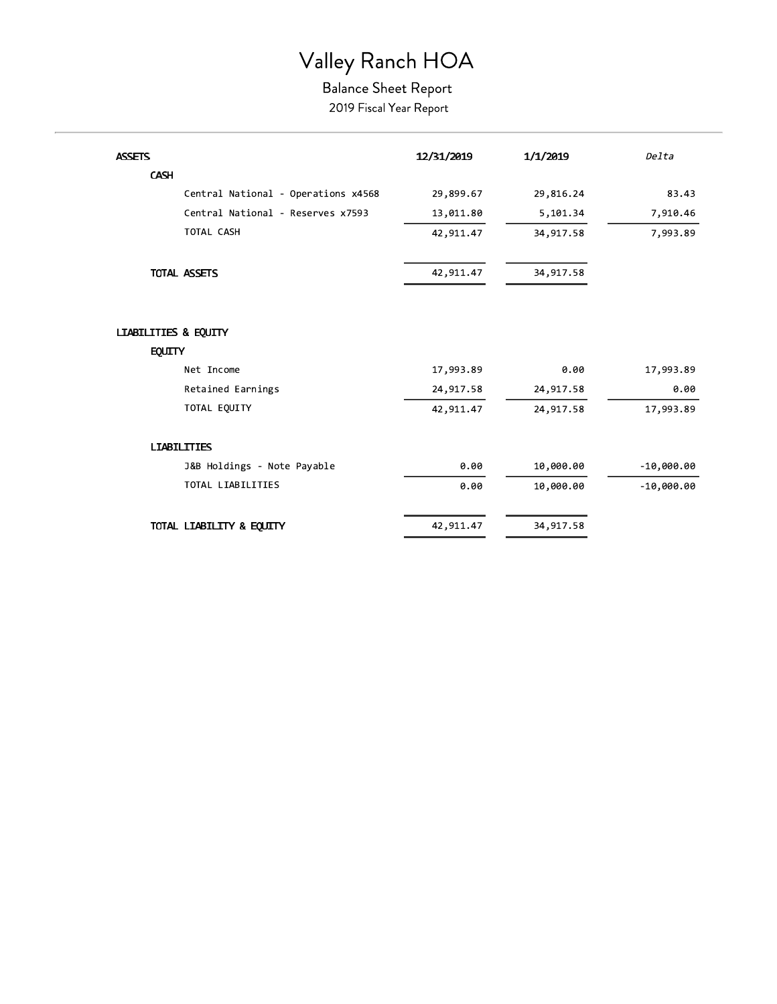### Valley Ranch HOA

#### Balance Sheet Report

2019 Fiscal Year Report

| <b>ASSETS</b>                                    | 12/31/2019 | 1/1/2019          | Delta        |
|--------------------------------------------------|------------|-------------------|--------------|
| <b>CASH</b>                                      |            |                   |              |
| Central National - Operations x4568              | 29,899.67  | 29,816.24         | 83.43        |
| Central National - Reserves x7593                | 13,011.80  | 5,101.34          | 7,910.46     |
| TOTAL CASH                                       | 42,911.47  | 34,917.58         | 7,993.89     |
| <b>TOTAL ASSETS</b>                              | 42,911.47  | 34,917.58         |              |
| <b>LIABILITIES &amp; EQUITY</b><br><b>EQUITY</b> |            |                   |              |
|                                                  |            |                   |              |
| Net Income                                       | 17,993.89  | 0.00              | 17,993.89    |
| Retained Earnings                                | 24,917.58  | 24,917.58         | 0.00         |
| TOTAL EQUITY                                     | 42,911.47  | 24,917.58         | 17,993.89    |
|                                                  |            |                   |              |
| <b>LIABILITIES</b>                               |            |                   |              |
| J&B Holdings - Note Payable                      |            | 0.00<br>10,000.00 | $-10,000.00$ |
| TOTAL LIABILITIES                                |            | 0.00<br>10,000.00 | $-10,000.00$ |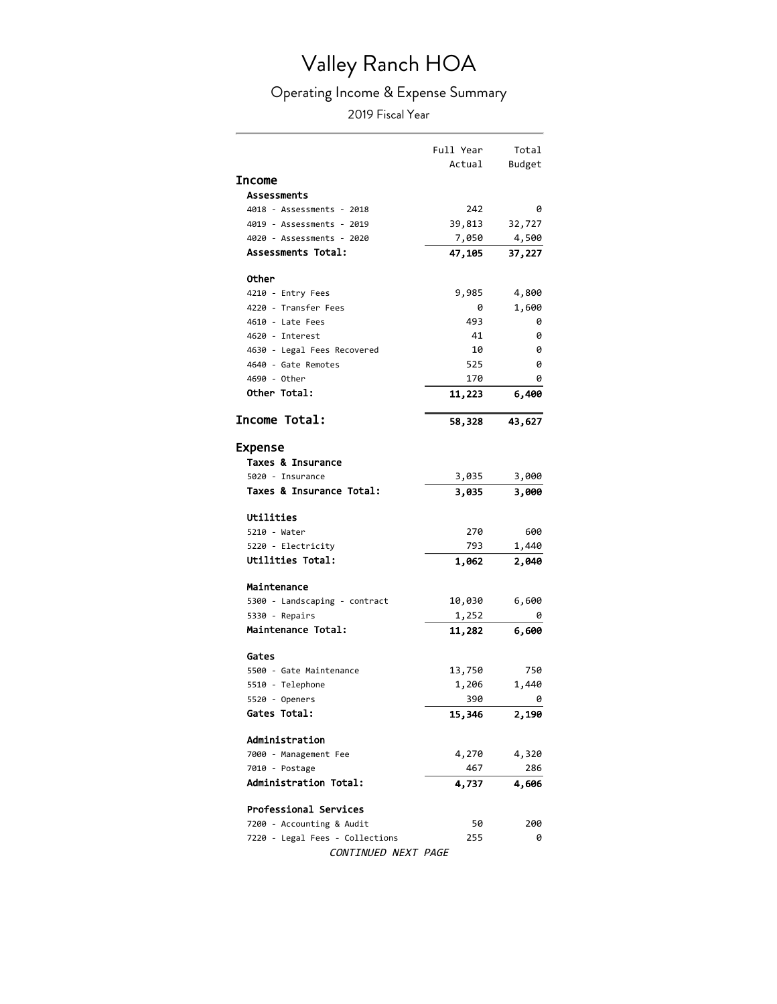# Valley Ranch HOA

### Operating Income & Expense Summary

2019 Fiscal Year

|                                 | Full Year | Total  |
|---------------------------------|-----------|--------|
|                                 | Actual    | Budget |
| <b>Income</b>                   |           |        |
| Assessments                     |           |        |
| 4018 - Assessments - 2018       | 242       | 0      |
| 4019 - Assessments - 2019       | 39,813    | 32,727 |
| 4020 - Assessments - 2020       | 7,050     | 4,500  |
| <b>Assessments Total:</b>       | 47,105    | 37,227 |
|                                 |           |        |
| Other                           |           |        |
| 4210 - Entry Fees               | 9,985     | 4,800  |
| 4220 - Transfer Fees            | 0         | 1,600  |
| 4610 - Late Fees                | 493       | 0      |
| 4620 - Interest                 | 41        | 0      |
| 4630 - Legal Fees Recovered     | 10        | 0      |
| 4640 - Gate Remotes             | 525       | 0      |
| 4690 - Other                    | 170       | 0      |
| Other Total:                    | 11,223    | 6,400  |
| Income Total:                   | 58,328    | 43,627 |
|                                 |           |        |
| <b>Expense</b>                  |           |        |
| Taxes & Insurance               |           |        |
| 5020 - Insurance                | 3,035     | 3,000  |
| Taxes & Insurance Total:        | 3,035     | 3,000  |
|                                 |           |        |
| Utilities                       |           |        |
| 5210 - Water                    | 270       | 600    |
| 5220 - Electricity              | 793       | 1,440  |
| <b>Utilities Total:</b>         | 1,062     | 2,040  |
|                                 |           |        |
| Maintenance                     |           |        |
| 5300 - Landscaping - contract   | 10,030    | 6,600  |
| 5330 - Repairs                  | 1,252     | 0      |
| Maintenance Total:              | 11,282    | 6,600  |
| Gates                           |           |        |
| 5500 - Gate Maintenance         | 13,750    | 750    |
| 5510 - Telephone                | 1,206     | 1,440  |
| 5520 - Openers                  | 390       | 0      |
| Gates Total:                    | 15,346    | 2,190  |
|                                 |           |        |
| Administration                  |           |        |
| 7000 - Management Fee           | 4,270     | 4,320  |
| 7010 - Postage                  | 467       | 286    |
| Administration Total:           | 4,737     | 4,606  |
| Professional Services           |           |        |
| 7200 - Accounting & Audit       | 50        | 200    |
| 7220 - Legal Fees - Collections | 255       | 0      |
| <i>CONTINUED NEXT PAGE</i>      |           |        |
|                                 |           |        |